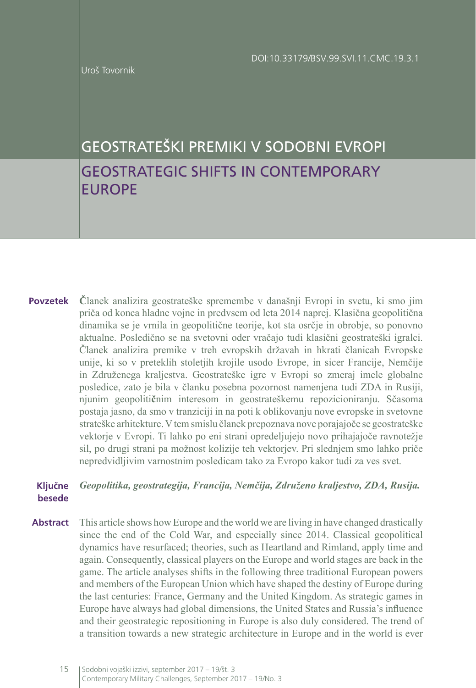Uroš Tovornik

# GEOSTRATEŠKI PREMIKI V SODOBNI EVROPI GEOSTRATEGIC SHIFTS IN CONTEMPORARY EUROPE

**Č**lanek analizira geostrateške spremembe v današnji Evropi in svetu, ki smo jim priča od konca hladne vojne in predvsem od leta 2014 naprej. Klasična geopolitična dinamika se je vrnila in geopolitične teorije, kot sta osrčje in obrobje, so ponovno aktualne. Posledično se na svetovni oder vračajo tudi klasični geostrateški igralci. Članek analizira premike v treh evropskih državah in hkrati članicah Evropske unije, ki so v preteklih stoletjih krojile usodo Evrope, in sicer Francije, Nemčije in Združenega kraljestva. Geostrateške igre v Evropi so zmeraj imele globalne posledice, zato je bila v članku posebna pozornost namenjena tudi ZDA in Rusiji, njunim geopoliti**č**nim interesom in geostrateškemu repozicioniranju. Sčasoma postaja jasno, da smo v tranziciji in na poti k oblikovanju nove evropske in svetovne strateške arhitekture. V tem smislu članek prepoznava nove porajajoče se geostrateške vektorje v Evropi. Ti lahko po eni strani opredeljujejo novo prihajajoče ravnotežje sil, po drugi strani pa možnost kolizije teh vektorjev. Pri slednjem smo lahko priče nepredvidljivim varnostnim posledicam tako za Evropo kakor tudi za ves svet. **Povzetek**

#### *Geopolitika, geostrategija, Francija, Nemčija, Združeno kraljestvo, ZDA, Rusija.* **Ključne besede**

This article shows how Europe and the world we are living in have changed drastically since the end of the Cold War, and especially since 2014. Classical geopolitical dynamics have resurfaced; theories, such as Heartland and Rimland, apply time and again. Consequently, classical players on the Europe and world stages are back in the game. The article analyses shifts in the following three traditional European powers and members of the European Union which have shaped the destiny of Europe during the last centuries: France, Germany and the United Kingdom. As strategic games in Europe have always had global dimensions, the United States and Russia's influence and their geostrategic repositioning in Europe is also duly considered. The trend of a transition towards a new strategic architecture in Europe and in the world is ever **Abstract**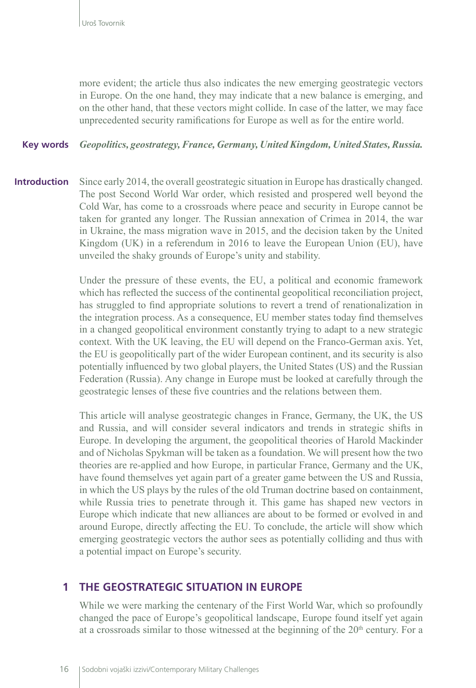more evident; the article thus also indicates the new emerging geostrategic vectors in Europe. On the one hand, they may indicate that a new balance is emerging, and on the other hand, that these vectors might collide. In case of the latter, we may face unprecedented security ramifications for Europe as well as for the entire world.

#### *Geopolitics, geostrategy, France, Germany, United Kingdom, United States, Russia.* **Key words**

Since early 2014, the overall geostrategic situation in Europe has drastically changed. The post Second World War order, which resisted and prospered well beyond the Cold War, has come to a crossroads where peace and security in Europe cannot be taken for granted any longer. The Russian annexation of Crimea in 2014, the war in Ukraine, the mass migration wave in 2015, and the decision taken by the United Kingdom (UK) in a referendum in 2016 to leave the European Union (EU), have unveiled the shaky grounds of Europe's unity and stability. **Introduction**

> Under the pressure of these events, the EU, a political and economic framework which has reflected the success of the continental geopolitical reconciliation project, has struggled to find appropriate solutions to revert a trend of renationalization in the integration process. As a consequence, EU member states today find themselves in a changed geopolitical environment constantly trying to adapt to a new strategic context. With the UK leaving, the EU will depend on the Franco-German axis. Yet, the EU is geopolitically part of the wider European continent, and its security is also potentially influenced by two global players, the United States (US) and the Russian Federation (Russia). Any change in Europe must be looked at carefully through the geostrategic lenses of these five countries and the relations between them.

> This article will analyse geostrategic changes in France, Germany, the UK, the US and Russia, and will consider several indicators and trends in strategic shifts in Europe. In developing the argument, the geopolitical theories of Harold Mackinder and of Nicholas Spykman will be taken as a foundation. We will present how the two theories are re-applied and how Europe, in particular France, Germany and the UK, have found themselves yet again part of a greater game between the US and Russia, in which the US plays by the rules of the old Truman doctrine based on containment, while Russia tries to penetrate through it. This game has shaped new vectors in Europe which indicate that new alliances are about to be formed or evolved in and around Europe, directly affecting the EU. To conclude, the article will show which emerging geostrategic vectors the author sees as potentially colliding and thus with a potential impact on Europe's security.

#### **1 THE GEOSTRATEGIC SITUATION IN EUROPE**

While we were marking the centenary of the First World War, which so profoundly changed the pace of Europe's geopolitical landscape, Europe found itself yet again at a crossroads similar to those witnessed at the beginning of the  $20<sup>th</sup>$  century. For a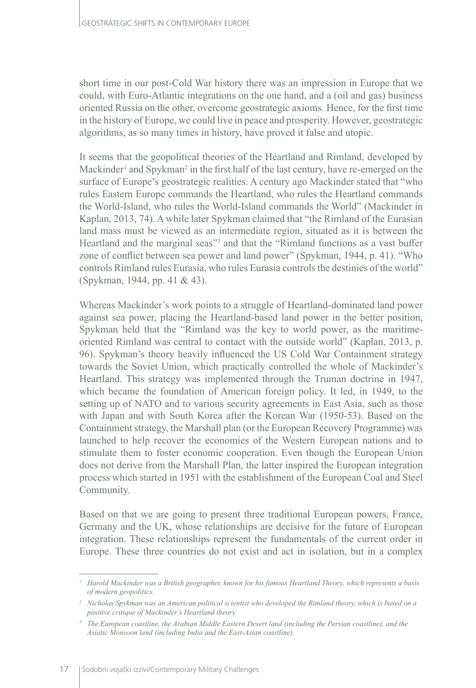short time in our post-Cold War history there was an impression in Europe that we could, with Euro-Atlantic integrations on the one hand, and a (oil and gas) business oriented Russia on the other, overcome geostrategic axioms. Hence, for the first time in the history of Europe, we could live in peace and prosperity. However, geostrategic algorithms, as so many times in history, have proved it false and utopic.

It seems that the geopolitical theories of the Heartland and Rimland, developed by Mackinder<sup>1</sup> and Spykman<sup>2</sup> in the first half of the last century, have re-emerged on the surface of Europe's geostrategic realities. A century ago Mackinder stated that "who rules Eastern Europe commands the Heartland, who rules the Heartland commands the World-Island, who rules the World-Island commands the World" (Mackinder in Kaplan, 2013, 74). A while later Spykman claimed that "the Rimland of the Eurasian land mass must be viewed as an intermediate region, situated as it is between the Heartland and the marginal seas"<sup>3</sup> and that the "Rimland functions as a vast buffer zone of conflict between sea power and land power" (Spykman, 1944, p. 41). "Who controls Rimland rules Eurasia, who rules Eurasia controls the destinies of the world" (Spykman, 1944, pp. 41 & 43).

Whereas Mackinder's work points to a struggle of Heartland-dominated land power against sea power, placing the Heartland-based land power in the better position, Spykman held that the "Rimland was the key to world power, as the maritimeoriented Rimland was central to contact with the outside world" (Kaplan, 2013, p. 96). Spykman's theory heavily influenced the US Cold War Containment strategy towards the Soviet Union, which practically controlled the whole of Mackinder's Heartland. This strategy was implemented through the Truman doctrine in 1947, which became the foundation of American foreign policy. It led, in 1949, to the setting up of [NATO](https://en.wikipedia.org/wiki/NATO) and to various security agreements in East Asia, such as those with Japan and with South Korea after the Korean War (1950-53). Based on the Containment strategy, the Marshall plan (or the European Recovery Programme) was launched to help recover the economies of the Western European nations and to stimulate them to foster economic cooperation. Even though the European Union does not derive from the Marshall Plan, the latter inspired the European integration process which started in 1951 with the establishment of the European Coal and Steel Community.

Based on that we are going to present three traditional European powers, France, Germany and the UK, whose relationships are decisive for the future of European integration. These relationships represent the fundamentals of the current order in Europe. These three countries do not exist and act in isolation, but in a complex

*<sup>1</sup> Harold Mackinder was a British geographer, known for his famous Heartland Theory, which represents a basis of modern geopolitics.*

*<sup>2</sup> Nicholas Spykman was an American political scientist who developed the Rimland theory, which is based on a positive critique of Mackinder's Heartland theory.* 

*<sup>3</sup> The European coastline, the Arabian Middle Eastern Desert land (including the Persian coastline), and the Asiatic Monsoon land (including India and the East-Asian coastline).*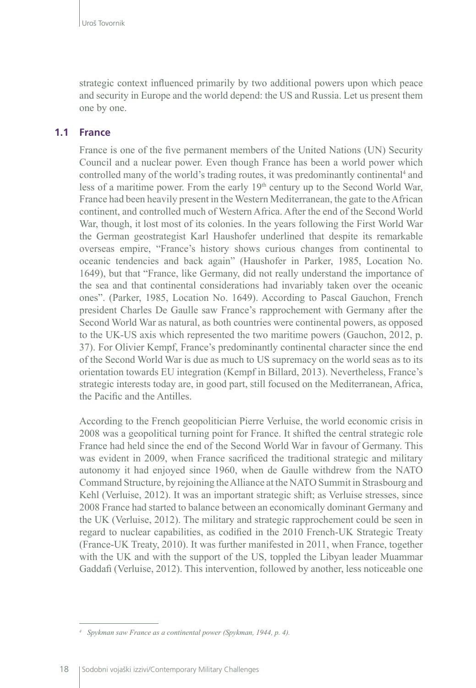strategic context influenced primarily by two additional powers upon which peace and security in Europe and the world depend: the US and Russia. Let us present them one by one.

#### **1.1 France**

France is one of the five permanent members of the United Nations (UN) Security Council and a nuclear power. Even though France has been a world power which controlled many of the world's trading routes, it was predominantly continental<sup>4</sup> and less of a maritime power. From the early  $19<sup>th</sup>$  century up to the Second World War, France had been heavily present in the Western Mediterranean, the gate to the African continent, and controlled much of Western Africa. After the end of the Second World War, though, it lost most of its colonies. In the years following the First World War the German geostrategist Karl Haushofer underlined that despite its remarkable overseas empire, "France's history shows curious changes from continental to oceanic tendencies and back again" (Haushofer in Parker, 1985, Location No. 1649), but that "France, like Germany, did not really understand the importance of the sea and that continental considerations had invariably taken over the oceanic ones". (Parker, 1985, Location No. 1649). According to Pascal Gauchon, French president Charles De Gaulle saw France's rapprochement with Germany after the Second World War as natural, as both countries were continental powers, as opposed to the UK-US axis which represented the two maritime powers (Gauchon, 2012, p. 37). For Olivier Kempf, France's predominantly continental character since the end of the Second World War is due as much to US supremacy on the world seas as to its orientation towards EU integration (Kempf in Billard, 2013). Nevertheless, France's strategic interests today are, in good part, still focused on the Mediterranean, Africa, the Pacific and the Antilles.

According to the French geopolitician Pierre Verluise, the world economic crisis in 2008 was a geopolitical turning point for France. It shifted the central strategic role France had held since the end of the Second World War in favour of Germany. This was evident in 2009, when France sacrificed the traditional strategic and military autonomy it had enjoyed since 1960, when de Gaulle withdrew from the NATO Command Structure, by rejoining the Alliance at the NATO Summit in Strasbourg and Kehl (Verluise, 2012). It was an important strategic shift; as Verluise stresses, since 2008 France had started to balance between an economically dominant Germany and the UK (Verluise, 2012). The military and strategic rapprochement could be seen in regard to nuclear capabilities, as codified in the 2010 French-UK Strategic Treaty (France-UK Treaty, 2010). It was further manifested in 2011, when France, together with the UK and with the support of the US, toppled the Libyan leader Muammar Gaddafi (Verluise, 2012). This intervention, followed by another, less noticeable one

*<sup>4</sup> Spykman saw France as a continental power (Spykman, 1944, p. 4).*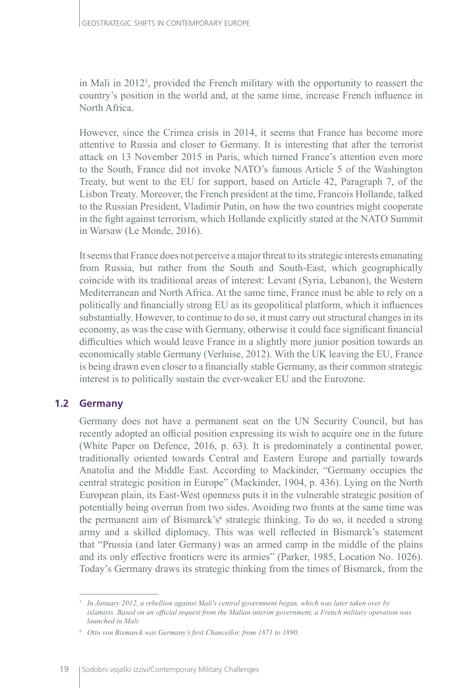in Mali in 2012<sup>5</sup> , provided the French military with the opportunity to reassert the country's position in the world and, at the same time, increase French influence in North Africa.

However, since the Crimea crisis in 2014, it seems that France has become more attentive to Russia and closer to Germany. It is interesting that after the terrorist attack on 13 November 2015 in Paris, which turned France's attention even more to the South, France did not invoke NATO's famous Article 5 of the Washington Treaty, but went to the EU for support, based on Article 42, Paragraph 7, of the Lisbon Treaty. Moreover, the French president at the time, Francois Hollande, talked to the Russian President, Vladimir Putin, on how the two countries might cooperate in the fight against terrorism, which Hollande explicitly stated at the NATO Summit in Warsaw (Le Monde, 2016).

It seems that France does not perceive a major threat to its strategic interests emanating from Russia, but rather from the South and South-East, which geographically coincide with its traditional areas of interest: Levant (Syria, Lebanon), the Western Mediterranean and North Africa. At the same time, France must be able to rely on a politically and financially strong EU as its geopolitical platform, which it influences substantially. However, to continue to do so, it must carry out structural changes in its economy, as was the case with Germany, otherwise it could face significant financial difficulties which would leave France in a slightly more junior position towards an economically stable Germany (Verluise, 2012). With the UK leaving the EU, France is being drawn even closer to a financially stable Germany, as their common strategic interest is to politically sustain the ever-weaker EU and the Eurozone.

#### **1.2 Germany**

Germany does not have a permanent seat on the UN Security Council, but has recently adopted an official position expressing its wish to acquire one in the future (White Paper on Defence, 2016, p. 63). It is predominately a continental power, traditionally oriented towards Central and Eastern Europe and partially towards Anatolia and the Middle East. According to Mackinder, "Germany occupies the central strategic position in Europe" (Mackinder, 1904, p. 436). Lying on the North European plain, its East-West openness puts it in the vulnerable strategic position of potentially being overrun from two sides. Avoiding two fronts at the same time was the permanent aim of Bismarck's<sup>6</sup> strategic thinking. To do so, it needed a strong army and a skilled diplomacy. This was well reflected in Bismarck's statement that "Prussia (and later Germany) was an armed camp in the middle of the plains and its only effective frontiers were its armies" (Parker, 1985, Location No. 1026). Today's Germany draws its strategic thinking from the times of Bismarck, from the

*<sup>5</sup> In January 2012, a [rebellion](https://en.wikipedia.org/wiki/Tuareg_rebellion_(2012)%20\%20Tuareg%20rebellion%20(2012)) against Mali's central government began, which was later taken over by islamists. Based on an official request from the Malian interim government, a [French military](https://en.wikipedia.org/wiki/French_military%20\%20French%20military) operation was launched in [Mali](https://en.wikipedia.org/wiki/Mali%20\%20Mali).*

*<sup>6</sup> Otto von Bismarck was Germany's first Chancellor, from 1871 to 1890.*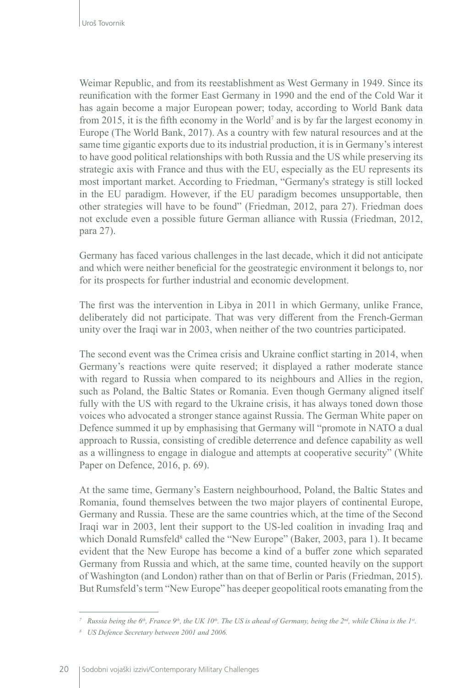Weimar Republic, and from its reestablishment as West Germany in 1949. Since its reunification with the former East Germany in 1990 and the end of the Cold War it has again become a major European power; today, according to World Bank data from 2015, it is the fifth economy in the World<sup>7</sup> and is by far the largest economy in Europe (The World Bank, 2017). As a country with few natural resources and at the same time gigantic exports due to its industrial production, it is in Germany's interest to have good political relationships with both Russia and the US while preserving its strategic axis with France and thus with the EU, especially as the EU represents its most important market. According to Friedman, "Germany's strategy is still locked in the EU paradigm. However, if the EU paradigm becomes unsupportable, then other strategies will have to be found" (Friedman, 2012, para 27). Friedman does not exclude even a possible future German alliance with Russia (Friedman, 2012, para 27).

Germany has faced various challenges in the last decade, which it did not anticipate and which were neither beneficial for the geostrategic environment it belongs to, nor for its prospects for further industrial and economic development.

The first was the intervention in Libya in 2011 in which Germany, unlike France, deliberately did not participate. That was very different from the French-German unity over the Iraqi war in 2003, when neither of the two countries participated.

The second event was the Crimea crisis and Ukraine conflict starting in 2014, when Germany's reactions were quite reserved; it displayed a rather moderate stance with regard to Russia when compared to its neighbours and Allies in the region, such as Poland, the Baltic States or Romania. Even though Germany aligned itself fully with the US with regard to the Ukraine crisis, it has always toned down those voices who advocated a stronger stance against Russia. The German White paper on Defence summed it up by emphasising that Germany will "promote in NATO a dual approach to Russia, consisting of credible deterrence and defence capability as well as a willingness to engage in dialogue and attempts at cooperative security" (White Paper on Defence, 2016, p. 69).

At the same time, Germany's Eastern neighbourhood, Poland, the Baltic States and Romania, found themselves between the two major players of continental Europe, Germany and Russia. These are the same countries which, at the time of the Second Iraqi war in 2003, lent their support to the US-led coalition in invading Iraq and which Donald Rumsfeld<sup>8</sup> called the "New Europe" (Baker, 2003, para 1). It became evident that the New Europe has become a kind of a buffer zone which separated Germany from Russia and which, at the same time, counted heavily on the support of Washington (and London) rather than on that of Berlin or Paris (Friedman, 2015). But Rumsfeld's term "New Europe" has deeper geopolitical roots emanating from the

*<sup>7</sup> Russia being the 6th, France 9th, the UK 10th. The US is ahead of Germany, being the 2nd, while China is the 1st.*

*<sup>8</sup> US Defence Secretary between 2001 and 2006.*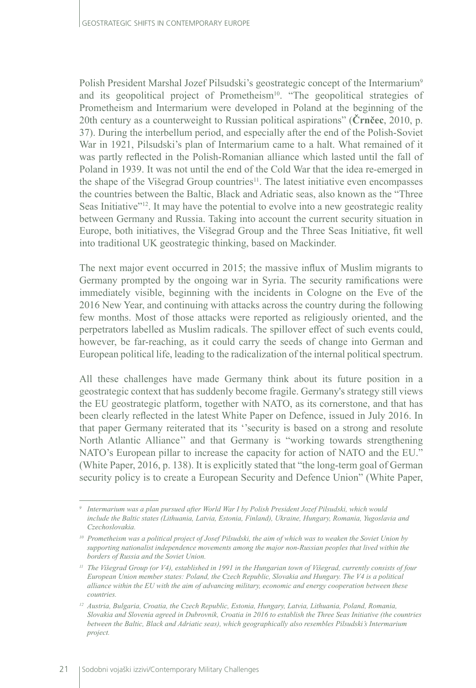Polish President Marshal Jozef Pilsudski's geostrategic concept of the Intermarium<sup>9</sup> and its geopolitical project of Prometheism<sup>10</sup>. "The geopolitical strategies of Prometheism and Intermarium were developed in Poland at the beginning of the 20th century as a counterweight to Russian political aspirations" (**Črnčec**, 2010, p. 37). During the interbellum period, and especially after the end of the Polish-Soviet War in 1921, Pilsudski's plan of Intermarium came to a halt. What remained of it was partly reflected in the Polish-Romanian alliance which lasted until the fall of Poland in 1939. It was not until the end of the Cold War that the idea re-emerged in the shape of the Višegrad Group countries $11$ . The latest initiative even encompasses the countries between the Baltic, Black and Adriatic seas, also known as the "Three Seas Initiative"<sup>12</sup>. It may have the potential to evolve into a new geostrategic reality between Germany and Russia. Taking into account the current security situation in Europe, both initiatives, the Višegrad Group and the Three Seas Initiative, fit well into traditional UK geostrategic thinking, based on Mackinder.

The next major event occurred in 2015; the massive influx of Muslim migrants to Germany prompted by the ongoing war in Syria. The security ramifications were immediately visible, beginning with the incidents in Cologne on the Eve of the 2016 New Year, and continuing with attacks across the country during the following few months. Most of those attacks were reported as religiously oriented, and the perpetrators labelled as Muslim radicals. The spillover effect of such events could, however, be far-reaching, as it could carry the seeds of change into German and European political life, leading to the radicalization of the internal political spectrum.

All these challenges have made Germany think about its future position in a geostrategic context that has suddenly become fragile. Germany's strategy still views the EU geostrategic platform, together with NATO, as its cornerstone, and that has been clearly reflected in the latest White Paper on Defence, issued in July 2016. In that paper Germany reiterated that its ''security is based on a strong and resolute North Atlantic Alliance'' and that Germany is "working towards strengthening NATO's European pillar to increase the capacity for action of NATO and the EU." (White Paper, 2016, p. 138). It is explicitly stated that "the long-term goal of German security policy is to create a European Security and Defence Union" (White Paper,

*<sup>9</sup> Intermarium was a plan pursued after [World War I](https://en.wikipedia.org/wiki/World_War_I) by Polish President [Jozef Pilsudski,](https://en.wikipedia.org/wiki/J%C3%B3zef_Pi%C5%82sudski) which would*  include the [Baltic states](https://en.wikipedia.org/wiki/Baltic_states) ([Lithuania](https://en.wikipedia.org/wiki/Lithuania), [Latvia](https://en.wikipedia.org/wiki/Latvia), [Estonia,](https://en.wikipedia.org/wiki/Estonia) [Finland](https://en.wikipedia.org/wiki/Finland)), [Ukraine](https://en.wikipedia.org/wiki/Ukraine), [Hungary](https://en.wikipedia.org/wiki/Hungary), [Romania](https://en.wikipedia.org/wiki/Romania), [Yugoslavia](https://en.wikipedia.org/wiki/Yugoslavia) and *[Czechoslovakia.](https://en.wikipedia.org/wiki/Czechoslovakia)* 

*<sup>10</sup> Prometheism was a political project of Josef Pilsudski, the aim of which was to weaken the [Soviet Union](https://en.wikipedia.org/wiki/Soviet_Union) by supporting [nationalist](https://en.wikipedia.org/wiki/Nationalism) [independence movements](https://en.wikipedia.org/wiki/Separatism) among the major [non-Russian peoples](https://en.wikipedia.org/wiki/Ethnic_groups_in_Russia) that lived within the borders of Russia and the Soviet Union.*

*<sup>11</sup> The Višegrad Group (or V4), established in 1991 in the Hungarian town of Višegrad, currently consists of four European Union member states: Poland, the Czech Republic, Slovakia and Hungary. The V4 is a political alliance within the EU with the aim of advancing military, economic and energy cooperation between these countries.*

*<sup>12</sup> Austria, Bulgaria, Croatia, the Czech Republic, Estonia, Hungary, Latvia, Lithuania, Poland, Romania, Slovakia and Slovenia agreed in Dubrovnik, Croatia in 2016 to establish the Three Seas Initiative (the countries between the Baltic, Black and Adriatic seas), which geographically also resembles Pilsudski's Intermarium project.*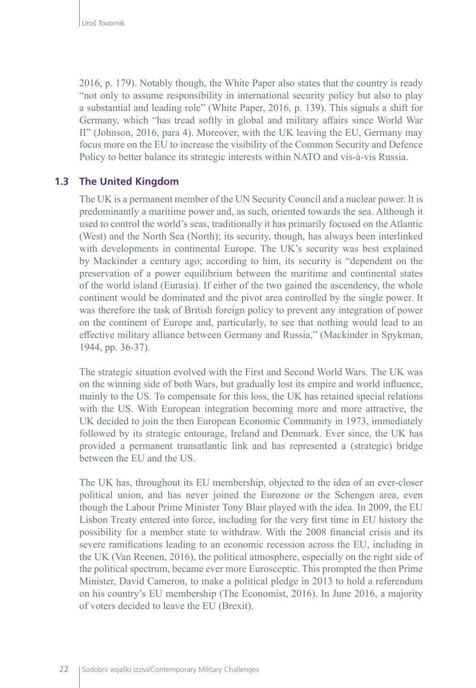2016, p. 179). Notably though, the White Paper also states that the country is ready "not only to assume responsibility in international security policy but also to play a substantial and leading role" (White Paper, 2016, p. 139). This signals a shift for Germany, which "has tread softly in global and military affairs since World War II" (Johnson, 2016, para 4). Moreover, with the UK leaving the EU, Germany may focus more on the EU to increase the visibility of the Common Security and Defence Policy to better balance its strategic interests within NATO and vis-à-vis Russia.

## **1.3 The United Kingdom**

The UK is a permanent member of the UN Security Council and a nuclear power. It is predominantly a maritime power and, as such, oriented towards the sea. Although it used to control the world's seas, traditionally it has primarily focused on the Atlantic (West) and the North Sea (North); its security, though, has always been interlinked with developments in continental Europe. The UK's security was best explained by Mackinder a century ago; according to him, its security is "dependent on the preservation of a power equilibrium between the maritime and continental states of the world island (Eurasia). If either of the two gained the ascendency, the whole continent would be dominated and the pivot area controlled by the single power. It was therefore the task of British foreign policy to prevent any integration of power on the continent of Europe and, particularly, to see that nothing would lead to an effective military alliance between Germany and Russia," (Mackinder in Spykman, 1944, pp. 36-37).

The strategic situation evolved with the First and Second World Wars. The UK was on the winning side of both Wars, but gradually lost its empire and world influence, mainly to the US. To compensate for this loss, the UK has retained special relations with the US. With European integration becoming more and more attractive, the UK decided to join the then European Economic Community in 1973, immediately followed by its strategic entourage, Ireland and Denmark. Ever since, the UK has provided a permanent transatlantic link and has represented a (strategic) bridge between the EU and the US.

The UK has, throughout its EU membership, objected to the idea of an ever-closer political union, and has never joined the Eurozone or the Schengen area, even though the Labour Prime Minister Tony Blair played with the idea. In 2009, the EU Lisbon Treaty entered into force, including for the very first time in EU history the possibility for a member state to withdraw. With the 2008 financial crisis and its severe ramifications leading to an economic recession across the EU, including in the UK (Van Reenen, 2016), the political atmosphere, especially on the right side of the political spectrum, became ever more Eurosceptic. This prompted the then Prime Minister, David Cameron, to make a political pledge in 2013 to hold a referendum on his country's EU membership (The Economist, 2016). In June 2016, a majority of voters decided to leave the EU (Brexit).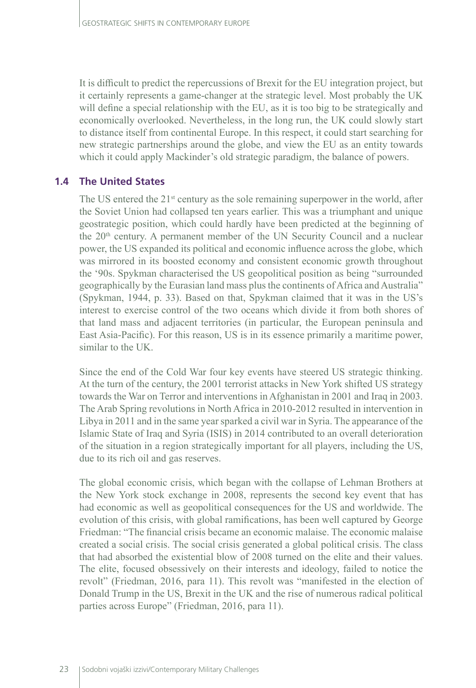It is difficult to predict the repercussions of Brexit for the EU integration project, but it certainly represents a game-changer at the strategic level. Most probably the UK will define a special relationship with the EU, as it is too big to be strategically and economically overlooked. Nevertheless, in the long run, the UK could slowly start to distance itself from continental Europe. In this respect, it could start searching for new strategic partnerships around the globe, and view the EU as an entity towards which it could apply Mackinder's old strategic paradigm, the balance of powers.

### **1.4 The United States**

The US entered the 21<sup>st</sup> century as the sole remaining superpower in the world, after the Soviet Union had collapsed ten years earlier. This was a triumphant and unique geostrategic position, which could hardly have been predicted at the beginning of the  $20<sup>th</sup>$  century. A permanent member of the UN Security Council and a nuclear power, the US expanded its political and economic influence across the globe, which was mirrored in its boosted economy and consistent economic growth throughout the '90s. Spykman characterised the US geopolitical position as being "surrounded geographically by the Eurasian land mass plus the continents of Africa and Australia" (Spykman, 1944, p. 33). Based on that, Spykman claimed that it was in the US's interest to exercise control of the two oceans which divide it from both shores of that land mass and adjacent territories (in particular, the European peninsula and East Asia-Pacific). For this reason, US is in its essence primarily a maritime power, similar to the UK.

Since the end of the Cold War four key events have steered US strategic thinking. At the turn of the century, the 2001 terrorist attacks in New York shifted US strategy towards the War on Terror and interventions in Afghanistan in 2001 and Iraq in 2003. The Arab Spring revolutions in North Africa in 2010-2012 resulted in intervention in Libya in 2011 and in the same year sparked a civil war in Syria. The appearance of the Islamic State of Iraq and Syria (ISIS) in 2014 contributed to an overall deterioration of the situation in a region strategically important for all players, including the US, due to its rich oil and gas reserves.

The global economic crisis, which began with the collapse of Lehman Brothers at the New York stock exchange in 2008, represents the second key event that has had economic as well as geopolitical consequences for the US and worldwide. The evolution of this crisis, with global ramifications, has been well captured by George Friedman: "The financial crisis became an economic malaise. The economic malaise created a social crisis. The social crisis generated a global political crisis. The class that had absorbed the existential blow of 2008 turned on the elite and their values. The elite, focused obsessively on their interests and ideology, failed to notice the revolt" (Friedman, 2016, para 11). This revolt was "manifested in the election of Donald Trump in the US, Brexit in the UK and the rise of numerous radical political parties across Europe" (Friedman, 2016, para 11).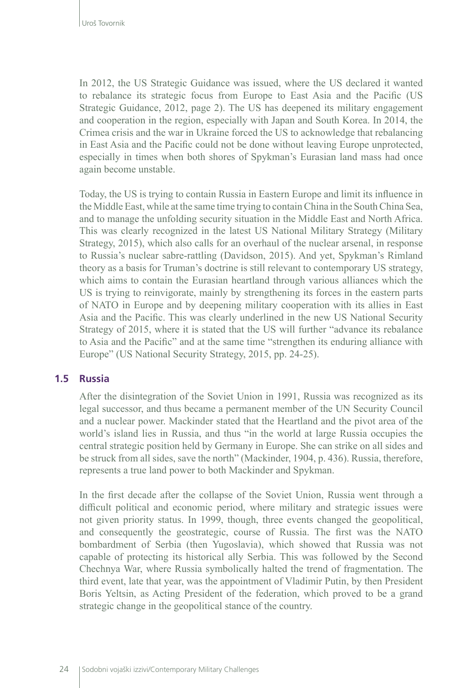In 2012, the US Strategic Guidance was issued, where the US declared it wanted to rebalance its strategic focus from Europe to East Asia and the Pacific (US Strategic Guidance, 2012, page 2). The US has deepened its military engagement and cooperation in the region, especially with Japan and South Korea. In 2014, the Crimea crisis and the war in Ukraine forced the US to acknowledge that rebalancing in East Asia and the Pacific could not be done without leaving Europe unprotected, especially in times when both shores of Spykman's Eurasian land mass had once again become unstable.

Today, the US is trying to contain Russia in Eastern Europe and limit its influence in the Middle East, while at the same time trying to contain China in the South China Sea, and to manage the unfolding security situation in the Middle East and North Africa. This was clearly recognized in the latest US National Military Strategy (Military Strategy, 2015), which also calls for an overhaul of the nuclear arsenal, in response to Russia's nuclear sabre-rattling (Davidson, 2015). And yet, Spykman's Rimland theory as a basis for Truman's doctrine is still relevant to contemporary US strategy, which aims to contain the Eurasian heartland through various alliances which the US is trying to reinvigorate, mainly by strengthening its forces in the eastern parts of NATO in Europe and by deepening military cooperation with its allies in East Asia and the Pacific. This was clearly underlined in the new US National Security Strategy of 2015, where it is stated that the US will further "advance its rebalance to Asia and the Pacific" and at the same time "strengthen its enduring alliance with Europe" (US National Security Strategy, 2015, pp. 24-25).

#### **1.5 Russia**

After the disintegration of the Soviet Union in 1991, Russia was recognized as its legal successor, and thus became a permanent member of the UN Security Council and a nuclear power. Mackinder stated that the Heartland and the pivot area of the world's island lies in Russia, and thus "in the world at large Russia occupies the central strategic position held by Germany in Europe. She can strike on all sides and be struck from all sides, save the north" (Mackinder, 1904, p. 436). Russia, therefore, represents a true land power to both Mackinder and Spykman.

In the first decade after the collapse of the Soviet Union, Russia went through a difficult political and economic period, where military and strategic issues were not given priority status. In 1999, though, three events changed the geopolitical, and consequently the geostrategic, course of Russia. The first was the NATO bombardment of Serbia (then Yugoslavia), which showed that Russia was not capable of protecting its historical ally Serbia. This was followed by the Second Chechnya War, where Russia symbolically halted the trend of fragmentation. The third event, late that year, was the appointment of Vladimir Putin, by then President Boris Yeltsin, as Acting President of the federation, which proved to be a grand strategic change in the geopolitical stance of the country.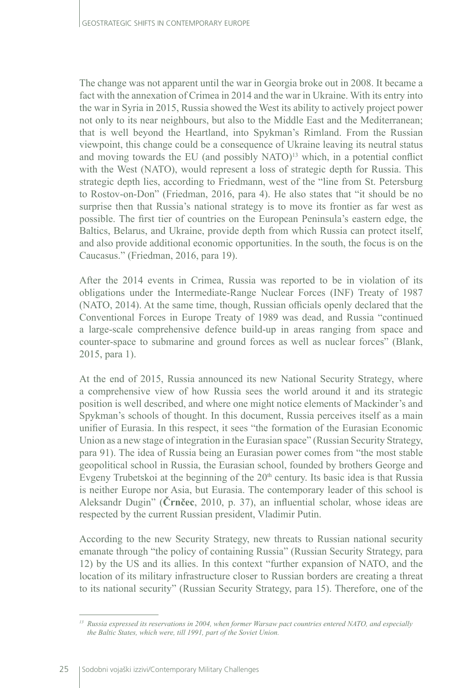The change was not apparent until the war in Georgia broke out in 2008. It became a fact with the annexation of Crimea in 2014 and the war in Ukraine. With its entry into the war in Syria in 2015, Russia showed the West its ability to actively project power not only to its near neighbours, but also to the Middle East and the Mediterranean; that is well beyond the Heartland, into Spykman's Rimland. From the Russian viewpoint, this change could be a consequence of Ukraine leaving its neutral status and moving towards the EU (and possibly NATO)<sup>13</sup> which, in a potential conflict with the West (NATO), would represent a loss of strategic depth for Russia. This strategic depth lies, according to Friedmann, west of the "line from St. Petersburg to Rostov-on-Don" (Friedman, 2016, para 4). He also states that "it should be no surprise then that Russia's national strategy is to move its frontier as far west as possible. The first tier of countries on the European Peninsula's eastern edge, the Baltics, Belarus, and Ukraine, provide depth from which Russia can protect itself, and also provide additional economic opportunities. In the south, the focus is on the Caucasus." (Friedman, 2016, para 19).

After the 2014 events in Crimea, Russia was reported to be in violation of its obligations under the Intermediate-Range Nuclear Forces (INF) Treaty of 1987 (NATO, 2014). At the same time, though, Russian officials openly declared that the Conventional Forces in Europe Treaty of 1989 was dead, and Russia "continued a large-scale comprehensive defence build-up in areas ranging from space and counter-space to submarine and ground forces as well as nuclear forces" (Blank, 2015, para 1).

At the end of 2015, Russia announced its new National Security Strategy, where a comprehensive view of how Russia sees the world around it and its strategic position is well described, and where one might notice elements of Mackinder's and Spykman's schools of thought. In this document, Russia perceives itself as a main unifier of Eurasia. In this respect, it sees "the formation of the Eurasian Economic Union as a new stage of integration in the Eurasian space" (Russian Security Strategy, para 91). The idea of Russia being an Eurasian power comes from "the most stable geopolitical school in Russia, the Eurasian school, founded by brothers George and Evgeny Trubetskoi at the beginning of the  $20<sup>th</sup>$  century. Its basic idea is that Russia is neither Europe nor Asia, but Eurasia. The contemporary leader of this school is Aleksandr Dugin" (**Črnčec**, 2010, p. 37), an influential scholar, whose ideas are respected by the current Russian president, Vladimir Putin.

According to the new Security Strategy, new threats to Russian national security emanate through "the policy of containing Russia" (Russian Security Strategy, para 12) by the US and its allies. In this context "further expansion of NATO, and the location of its military infrastructure closer to Russian borders are creating a threat to its national security" (Russian Security Strategy, para 15). Therefore, one of the

*<sup>13</sup> Russia expressed its reservations in 2004, when former Warsaw pact countries entered NATO, and especially the Baltic States, which were, till 1991, part of the Soviet Union.*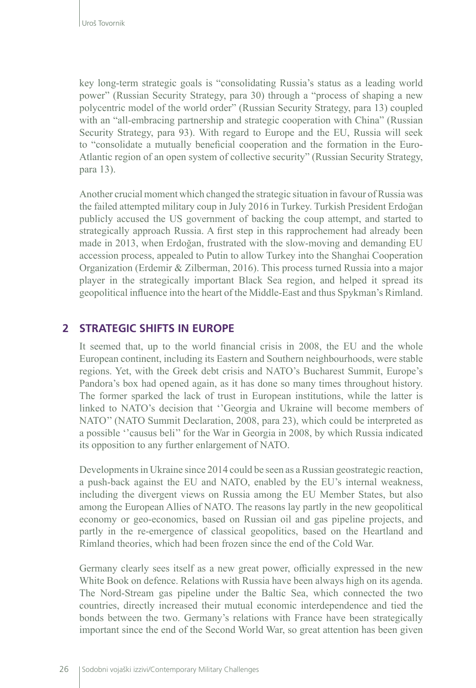key long-term strategic goals is "consolidating Russia's status as a leading world power" (Russian Security Strategy, para 30) through a "process of shaping a new polycentric model of the world order" (Russian Security Strategy, para 13) coupled with an "all-embracing partnership and strategic cooperation with China" (Russian Security Strategy, para 93). With regard to Europe and the EU, Russia will seek to "consolidate a mutually beneficial cooperation and the formation in the Euro-Atlantic region of an open system of collective security" (Russian Security Strategy, para 13).

Another crucial moment which changed the strategic situation in favour of Russia was the failed attempted military coup in July 2016 in Turkey. Turkish President Erdoğan publicly accused the US government of backing the coup attempt, and started to strategically approach Russia. A first step in this rapprochement had already been made in 2013, when Erdoğan, frustrated with the slow-moving and demanding EU accession process, appealed to Putin to allow Turkey into the Shanghai Cooperation Organization (Erdemir & Zilberman, 2016). This process turned Russia into a major player in the strategically important Black Sea region, and helped it spread its geopolitical influence into the heart of the Middle-East and thus Spykman's Rimland.

### **2 STRATEGIC SHIFTS IN EUROPE**

It seemed that, up to the world financial crisis in 2008, the EU and the whole European continent, including its Eastern and Southern neighbourhoods, were stable regions. Yet, with the Greek debt crisis and NATO's Bucharest Summit, Europe's Pandora's box had opened again, as it has done so many times throughout history. The former sparked the lack of trust in European institutions, while the latter is linked to NATO's decision that ''Georgia and Ukraine will become members of NATO'' (NATO Summit Declaration, 2008, para 23), which could be interpreted as a possible ''causus beli'' for the War in Georgia in 2008, by which Russia indicated its opposition to any further enlargement of NATO.

Developments in Ukraine since 2014 could be seen as a Russian geostrategic reaction, a push-back against the EU and NATO, enabled by the EU's internal weakness, including the divergent views on Russia among the EU Member States, but also among the European Allies of NATO. The reasons lay partly in the new geopolitical economy or geo-economics, based on Russian oil and gas pipeline projects, and partly in the re-emergence of classical geopolitics, based on the Heartland and Rimland theories, which had been frozen since the end of the Cold War.

Germany clearly sees itself as a new great power, officially expressed in the new White Book on defence. Relations with Russia have been always high on its agenda. The Nord-Stream gas pipeline under the Baltic Sea, which connected the two countries, directly increased their mutual economic interdependence and tied the bonds between the two. Germany's relations with France have been strategically important since the end of the Second World War, so great attention has been given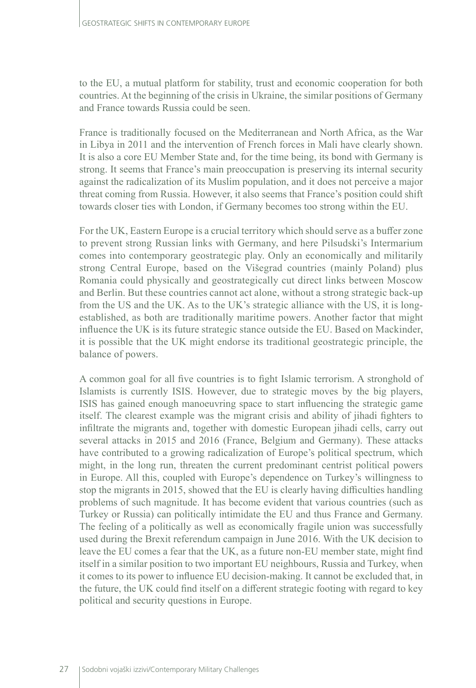to the EU, a mutual platform for stability, trust and economic cooperation for both countries. At the beginning of the crisis in Ukraine, the similar positions of Germany and France towards Russia could be seen.

France is traditionally focused on the Mediterranean and North Africa, as the War in Libya in 2011 and the intervention of French forces in Mali have clearly shown. It is also a core EU Member State and, for the time being, its bond with Germany is strong. It seems that France's main preoccupation is preserving its internal security against the radicalization of its Muslim population, and it does not perceive a major threat coming from Russia. However, it also seems that France's position could shift towards closer ties with London, if Germany becomes too strong within the EU.

For the UK, Eastern Europe is a crucial territory which should serve as a buffer zone to prevent strong Russian links with Germany, and here Pilsudski's Intermarium comes into contemporary geostrategic play. Only an economically and militarily strong Central Europe, based on the Višegrad countries (mainly Poland) plus Romania could physically and geostrategically cut direct links between Moscow and Berlin. But these countries cannot act alone, without a strong strategic back-up from the US and the UK. As to the UK's strategic alliance with the US, it is longestablished, as both are traditionally maritime powers. Another factor that might influence the UK is its future strategic stance outside the EU. Based on Mackinder, it is possible that the UK might endorse its traditional geostrategic principle, the balance of powers.

A common goal for all five countries is to fight Islamic terrorism. A stronghold of Islamists is currently ISIS. However, due to strategic moves by the big players, ISIS has gained enough manoeuvring space to start influencing the strategic game itself. The clearest example was the migrant crisis and ability of jihadi fighters to infiltrate the migrants and, together with domestic European jihadi cells, carry out several attacks in 2015 and 2016 (France, Belgium and Germany). These attacks have contributed to a growing radicalization of Europe's political spectrum, which might, in the long run, threaten the current predominant centrist political powers in Europe. All this, coupled with Europe's dependence on Turkey's willingness to stop the migrants in 2015, showed that the EU is clearly having difficulties handling problems of such magnitude. It has become evident that various countries (such as Turkey or Russia) can politically intimidate the EU and thus France and Germany. The feeling of a politically as well as economically fragile union was successfully used during the Brexit referendum campaign in June 2016. With the UK decision to leave the EU comes a fear that the UK, as a future non-EU member state, might find itself in a similar position to two important EU neighbours, Russia and Turkey, when it comes to its power to influence EU decision-making. It cannot be excluded that, in the future, the UK could find itself on a different strategic footing with regard to key political and security questions in Europe.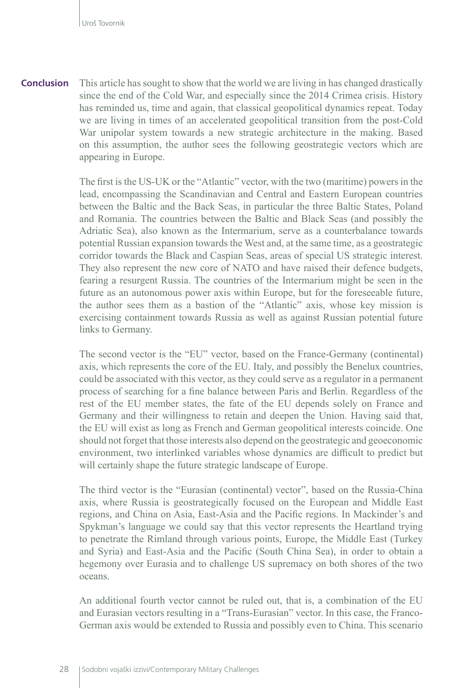This article has sought to show that the world we are living in has changed drastically since the end of the Cold War, and especially since the 2014 Crimea crisis. History has reminded us, time and again, that classical geopolitical dynamics repeat. Today we are living in times of an accelerated geopolitical transition from the post-Cold War unipolar system towards a new strategic architecture in the making. Based on this assumption, the author sees the following geostrategic vectors which are appearing in Europe. **Conclusion**

> The first is the US-UK or the "Atlantic" vector, with the two (maritime) powers in the lead, encompassing the Scandinavian and Central and Eastern European countries between the Baltic and the Back Seas, in particular the three Baltic States, Poland and Romania. The countries between the Baltic and Black Seas (and possibly the Adriatic Sea), also known as the Intermarium, serve as a counterbalance towards potential Russian expansion towards the West and, at the same time, as a geostrategic corridor towards the Black and Caspian Seas, areas of special US strategic interest. They also represent the new core of NATO and have raised their defence budgets, fearing a resurgent Russia. The countries of the Intermarium might be seen in the future as an autonomous power axis within Europe, but for the foreseeable future, the author sees them as a bastion of the "Atlantic" axis, whose key mission is exercising containment towards Russia as well as against Russian potential future links to Germany.

> The second vector is the "EU" vector, based on the France-Germany (continental) axis, which represents the core of the EU. Italy, and possibly the Benelux countries, could be associated with this vector, as they could serve as a regulator in a permanent process of searching for a fine balance between Paris and Berlin. Regardless of the rest of the EU member states, the fate of the EU depends solely on France and Germany and their willingness to retain and deepen the Union. Having said that, the EU will exist as long as French and German geopolitical interests coincide. One should not forget that those interests also depend on the geostrategic and geoeconomic environment, two interlinked variables whose dynamics are difficult to predict but will certainly shape the future strategic landscape of Europe.

> The third vector is the "Eurasian (continental) vector", based on the Russia-China axis, where Russia is geostrategically focused on the European and Middle East regions, and China on Asia, East-Asia and the Pacific regions. In Mackinder's and Spykman's language we could say that this vector represents the Heartland trying to penetrate the Rimland through various points, Europe, the Middle East (Turkey and Syria) and East-Asia and the Pacific (South China Sea), in order to obtain a hegemony over Eurasia and to challenge US supremacy on both shores of the two oceans.

> An additional fourth vector cannot be ruled out, that is, a combination of the EU and Eurasian vectors resulting in a "Trans-Eurasian" vector. In this case, the Franco-German axis would be extended to Russia and possibly even to China. This scenario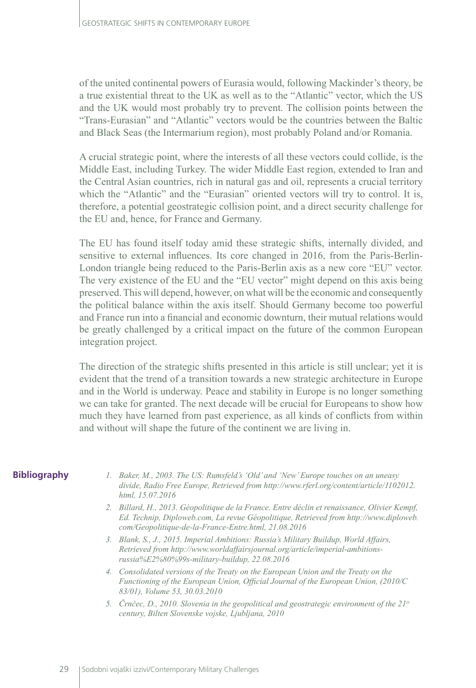of the united continental powers of Eurasia would, following Mackinder's theory, be a true existential threat to the UK as well as to the "Atlantic" vector, which the US and the UK would most probably try to prevent. The collision points between the "Trans-Eurasian" and "Atlantic" vectors would be the countries between the Baltic and Black Seas (the Intermarium region), most probably Poland and/or Romania.

A crucial strategic point, where the interests of all these vectors could collide, is the Middle East, including Turkey. The wider Middle East region, extended to Iran and the Central Asian countries, rich in natural gas and oil, represents a crucial territory which the "Atlantic" and the "Eurasian" oriented vectors will try to control. It is, therefore, a potential geostrategic collision point, and a direct security challenge for the EU and, hence, for France and Germany.

The EU has found itself today amid these strategic shifts, internally divided, and sensitive to external influences. Its core changed in 2016, from the Paris-Berlin-London triangle being reduced to the Paris-Berlin axis as a new core "EU" vector. The very existence of the EU and the "EU vector" might depend on this axis being preserved. This will depend, however, on what will be the economic and consequently the political balance within the axis itself. Should Germany become too powerful and France run into a financial and economic downturn, their mutual relations would be greatly challenged by a critical impact on the future of the common European integration project.

The direction of the strategic shifts presented in this article is still unclear; yet it is evident that the trend of a transition towards a new strategic architecture in Europe and in the World is underway. Peace and stability in Europe is no longer something we can take for granted. The next decade will be crucial for Europeans to show how much they have learned from past experience, as all kinds of conflicts from within and without will shape the future of the continent we are living in.

#### **Bibliography**

- *1. Baker, M., 2003. The US: Rumsfeld's 'Old' and 'New' Europe touches on an uneasy divide, Radio Free Europe, Retrieved from http://www.rferl.org/content/article/1102012. html, 15.07.2016*
- *2. Billard, H., 2013. Géopolitique de la France. Entre déclin et renaissance, Olivier Kempf, Ed. Technip, Diploweb.com, La revue Géopolitique, Retrieved from http://www.diploweb. com/Geopolitique-de-la-France-Entre.html, 21.08.2016*
- *3. Blank, S., J., 2015. Imperial Ambitions: Russia's Military Buildup, World Affairs, Retrieved from http://www.worldaffairsjournal.org/article/imperial-ambitionsrussia%E2%80%99s-military-buildup, 22.08.2016*
- *4. Consolidated versions of the Treaty on the European Union and the Treaty on the Functioning of the European Union, Official Journal of the European Union, (2010/C 83/01), Volume 53, 30.03.2010*
- *5. Črnčec, D., 2010. Slovenia in the geopolitical and geostrategic environment of the 21st century, Bilten Slovenske vojske, Ljubljana, 2010*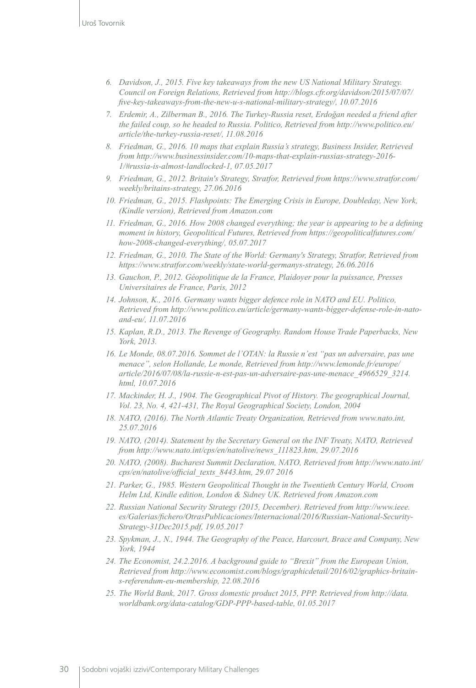- *6. Davidson, J., 2015. Five key takeaways from the new US National Military Strategy. Council on Foreign Relations, Retrieved from http://blogs.cfr.org/davidson/2015/07/07/ five-key-takeaways-from-the-new-u-s-national-military-strategy/, 10.07.2016*
- *7. Erdemir, A., Zilberman B., 2016. The Turkey-Russia reset, Erdoğan needed a friend after the failed coup, so he headed to Russia. Politico, Retrieved from [http://www.politico.eu/](http://www.politico.eu/article/the-turkey-russia-reset/) [article/the-turkey-russia-reset/,](http://www.politico.eu/article/the-turkey-russia-reset/) 11.08.2016*
- *8. Friedman, G., 2016. 10 maps that explain Russia's strategy, Business Insider, Retrieved from http://www.businessinsider.com/10-maps-that-explain-russias-strategy-2016- 1/#russia-is-almost-landlocked-1, 07.05.2017*
- *9. Friedman, G., 2012. Britain's Strategy, Stratfor, Retrieved from [https://www.stratfor.com/](https://www.stratfor.com/weekly/britains-strategy) [weekly/britains-strategy](https://www.stratfor.com/weekly/britains-strategy), 27.06.2016*
- *10. Friedman, G., 2015. Flashpoints: The Emerging Crisis in Europe, Doubleday, New York, (Kindle version), Retrieved from Amazon.com*
- *11. Friedman, G., 2016. How 2008 changed everything; the year is appearing to be a defining moment in history, Geopolitical Futures, Retrieved from https://geopoliticalfutures.com/ how-2008-changed-everything/, 05.07.2017*
- *12. Friedman, G., 2010. The State of the World: Germany's Strategy, Stratfor, Retrieved from https://www.stratfor.com/weekly/state-world-germanys-strategy, 26.06.2016*
- *13. Gauchon, P., 2012. Géopolitique de la France, Plaidoyer pour la puissance, Presses Universitaires de France, Paris, 2012*
- *14. Johnson, K., 2016. Germany wants bigger defence role in NATO and EU. Politico, Retrieved from http://www.politico.eu/article/germany-wants-bigger-defense-role-in-natoand-eu/, 11.07.2016*
- *15. Kaplan, R.D., 2013. The Revenge of Geography. Random House Trade Paperbacks, New York, 2013.*
- *16. Le Monde, 08.07.2016. Sommet de l'OTAN: la Russie n'est "pas un adversaire, pas une menace", selon Hollande, Le monde, Retrieved from http://www.lemonde.fr/europe/ article/2016/07/08/la-russie-n-est-pas-un-adversaire-pas-une-menace\_4966529\_3214. html, 10.07.2016*
- *17. Mackinder, H. J., 1904. The Geographical Pivot of History. The geographical Journal, Vol. 23, No. 4, 421-431, The Royal Geographical Society, London, 2004*
- *18. NATO, (2016). The North Atlantic Treaty Organization, Retrieved from www.nato.int, 25.07.2016*
- *19. NATO, (2014). Statement by the Secretary General on the INF Treaty, NATO, Retrieved from http://www.nato.int/cps/en/natolive/news\_111823.htm, 29.07.2016*
- *20. NATO, (2008). Bucharest Summit Declaration, NATO, Retrieved from http://www.nato.int/ cps/en/natolive/official\_texts\_8443.htm, 29.07 2016*
- *21. Parker, G., 1985. Western Geopolitical Thought in the Twentieth Century World, Croom Helm Ltd, Kindle edition, London & Sidney UK. Retrieved from Amazon.com*
- *22. Russian National Security Strategy (2015, December). Retrieved from http://www.ieee. es/Galerias/fichero/OtrasPublicaciones/Internacional/2016/Russian-National-Security-Strategy-31Dec2015.pdf, 19.05.2017*
- *23. [Spykman](https://www.amazon.com/s/ref=dp_byline_sr_book_1?ie=UTF8&field-author=Nicholas+John+Spykman&search-alias=books&text=Nicholas+John+Spykman&sort=relevancerank), J., N., 1944. The Geography of the Peace, Harcourt, Brace and Company, New York, 1944*
- *24. The Economist, 24.2.2016. A background guide to "Brexit" from the European Union, Retrieved from http://www.economist.com/blogs/graphicdetail/2016/02/graphics-britains-referendum-eu-membership, 22.08.2016*
- *25. The World Bank, 2017. Gross domestic product 2015, PPP. Retrieved from http://data. worldbank.org/data-catalog/GDP-PPP-based-table, 01.05.2017*